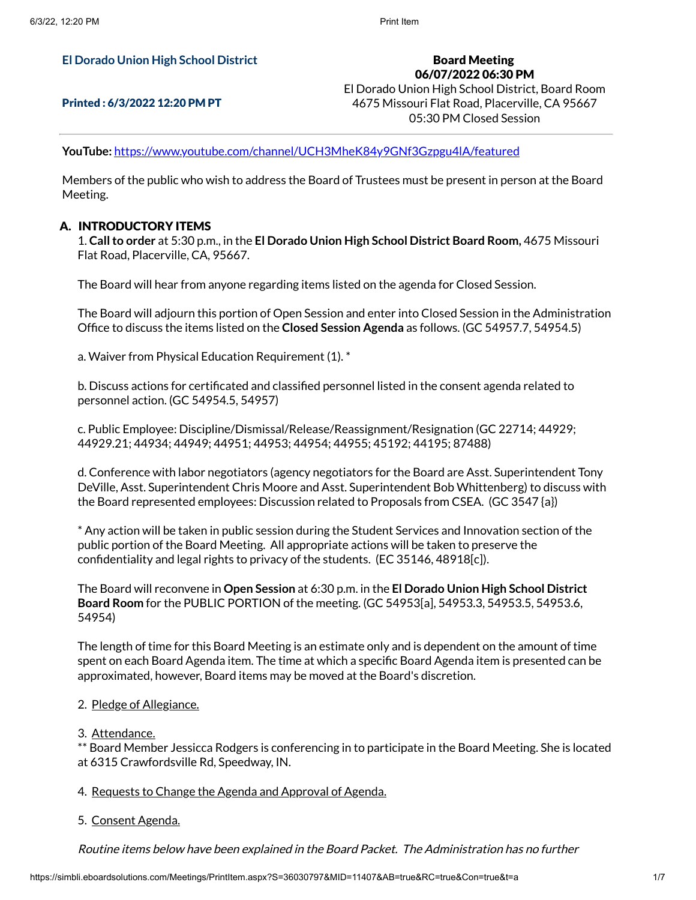## **El Dorado Union High School District**

### Printed : 6/3/2022 12:20 PM PT

Board Meeting 06/07/2022 06:30 PM El Dorado Union High School District, Board Room 4675 Missouri Flat Road, Placerville, CA 95667 05:30 PM Closed Session

**YouTube:** <https://www.youtube.com/channel/UCH3MheK84y9GNf3Gzpgu4lA/featured>

Members of the public who wish to address the Board of Trustees must be present in person at the Board Meeting.

## A. INTRODUCTORY ITEMS

1. **Callto order** at 5:30 p.m., in the **El Dorado Union High School District Board Room,** 4675 Missouri Flat Road, Placerville, CA, 95667.

The Board will hear from anyone regarding items listed on the agenda for Closed Session.

The Board will adjourn this portion of Open Session and enter into Closed Session in the Administration Office to discuss the items listed on the **Closed Session Agenda** as follows. (GC 54957.7, 54954.5)

a. Waiver from Physical Education Requirement (1). \*

b. Discuss actions for certificated and classified personnel listed in the consent agenda related to personnel action. (GC 54954.5, 54957)

c. Public Employee: Discipline/Dismissal/Release/Reassignment/Resignation (GC 22714; 44929; 44929.21; 44934; 44949; 44951; 44953; 44954; 44955; 45192; 44195; 87488)

d. Conference with labor negotiators (agency negotiators for the Board are Asst. Superintendent Tony DeVille, Asst. Superintendent Chris Moore and Asst. Superintendent Bob Whittenberg) to discuss with the Board represented employees: Discussion related to Proposals from CSEA. (GC 3547 {a})

\* Any action will be taken in public session during the Student Services and Innovation section of the public portion of the Board Meeting. All appropriate actions will be taken to preserve the confidentiality and legal rights to privacy of the students. (EC 35146, 48918[c]).

The Board will reconvene in **Open Session** at 6:30 p.m. in the **El Dorado Union High School District Board Room** for the PUBLIC PORTION of the meeting. (GC 54953[a], 54953.3, 54953.5, 54953.6, 54954)

The length of time for this Board Meeting is an estimate only and is dependent on the amount of time spent on each Board Agenda item. The time at which a specific Board Agenda item is presented can be approximated, however, Board items may be moved at the Board's discretion.

#### 2. Pledge of Allegiance.

#### 3. Attendance.

\*\* Board Member Jessicca Rodgers is conferencing in to participate in the Board Meeting. She is located at 6315 Crawfordsville Rd, Speedway, IN.

#### 4. Requests to Change the Agenda and Approval of Agenda.

#### 5. Consent Agenda.

Routine items below have been explained in the Board Packet. The Administration has no further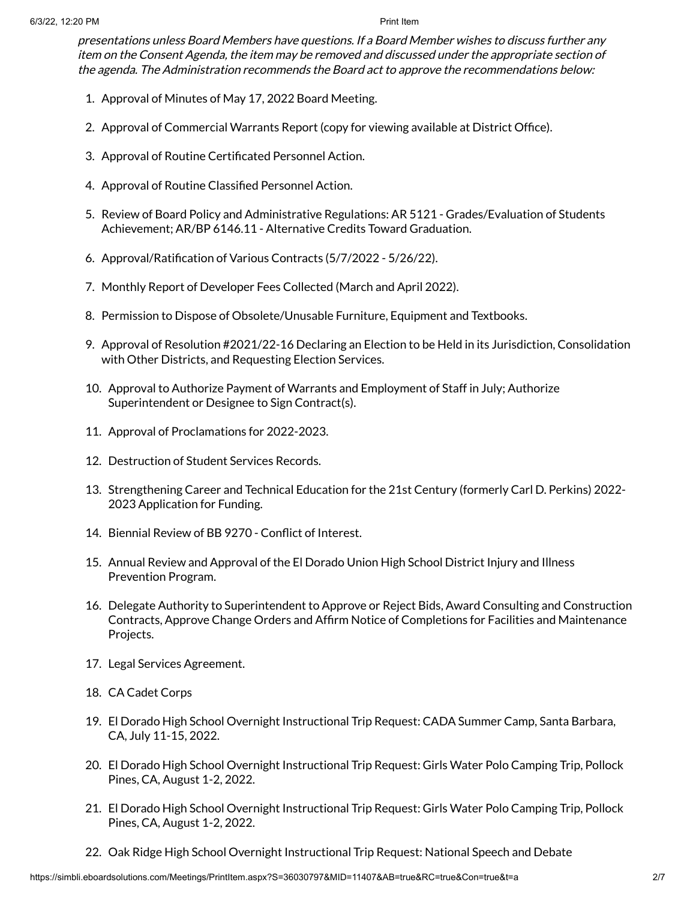presentations unless Board Members have questions. If <sup>a</sup> Board Member wishes to discuss further any item on the Consent Agenda, the item may be removed and discussed under the appropriate section of the agenda. The Administration recommends the Board act to approve the recommendations below:

- 1. Approval of Minutes of May 17, 2022 Board Meeting.
- 2. Approval of Commercial Warrants Report (copy for viewing available at District Office).
- 3. Approval of Routine Certificated Personnel Action.
- 4. Approval of Routine Classified Personnel Action.
- 5. Review of Board Policy and Administrative Regulations: AR 5121 Grades/Evaluation of Students Achievement; AR/BP 6146.11 - Alternative Credits Toward Graduation.
- 6. Approval/Ratification of Various Contracts (5/7/2022 5/26/22).
- 7. Monthly Report of Developer Fees Collected (March and April 2022).
- 8. Permission to Dispose of Obsolete/Unusable Furniture, Equipment and Textbooks.
- 9. Approval of Resolution #2021/22-16 Declaring an Election to be Held in its Jurisdiction, Consolidation with Other Districts, and Requesting Election Services.
- 10. Approval to Authorize Payment of Warrants and Employment of Staff in July; Authorize Superintendent or Designee to Sign Contract(s).
- 11. Approval of Proclamations for 2022-2023.
- 12. Destruction of Student Services Records.
- 13. Strengthening Career and Technical Education for the 21st Century (formerly Carl D. Perkins) 2022- 2023 Application for Funding.
- 14. Biennial Review of BB 9270 Conflict of Interest.
- 15. Annual Review and Approval of the El Dorado Union High School District Injury and Illness Prevention Program.
- 16. Delegate Authority to Superintendent to Approve or Reject Bids, Award Consulting and Construction Contracts, Approve Change Orders and Affirm Notice of Completions for Facilities and Maintenance Projects.
- 17. Legal Services Agreement.
- 18. CA Cadet Corps
- 19. El Dorado High School Overnight Instructional Trip Request: CADA Summer Camp, Santa Barbara, CA, July 11-15, 2022.
- 20. El Dorado High School Overnight Instructional Trip Request: Girls Water Polo Camping Trip, Pollock Pines, CA, August 1-2, 2022.
- 21. El Dorado High School Overnight Instructional Trip Request: Girls Water Polo Camping Trip, Pollock Pines, CA, August 1-2, 2022.
- 22. Oak Ridge High School Overnight Instructional Trip Request: National Speech and Debate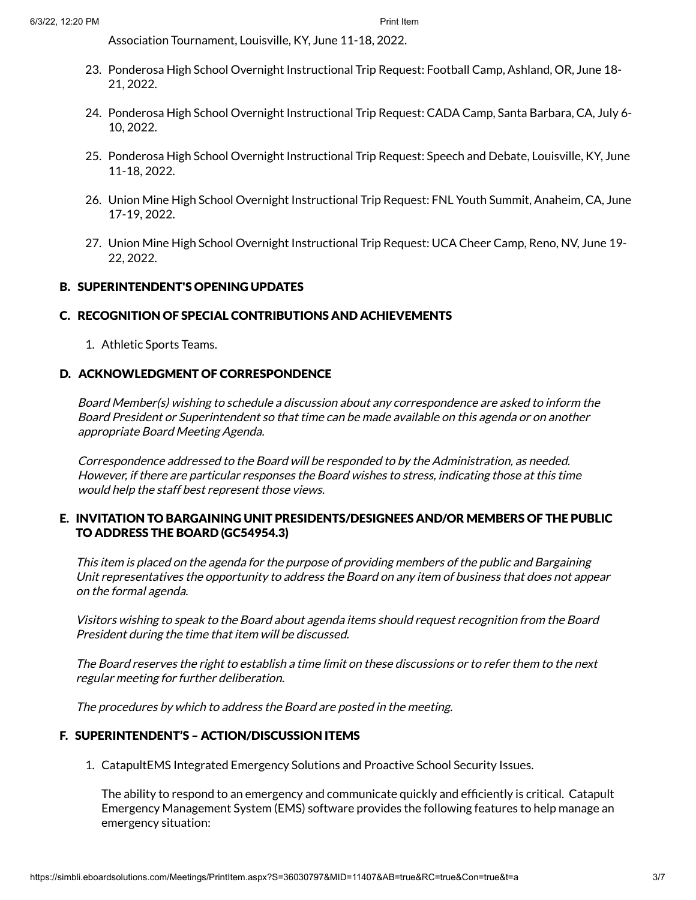Association Tournament, Louisville, KY, June 11-18, 2022.

- 23. Ponderosa High School Overnight Instructional Trip Request: Football Camp, Ashland, OR, June 18- 21, 2022.
- 24. Ponderosa High School Overnight Instructional Trip Request: CADA Camp, Santa Barbara, CA, July 6- 10, 2022.
- 25. Ponderosa High School Overnight Instructional Trip Request: Speech and Debate, Louisville, KY, June 11-18, 2022.
- 26. Union Mine High School Overnight Instructional Trip Request: FNL Youth Summit, Anaheim, CA, June 17-19, 2022.
- 27. Union Mine High School Overnight Instructional Trip Request: UCA Cheer Camp, Reno, NV, June 19- 22, 2022.

# B. SUPERINTENDENT'S OPENING UPDATES

# C. RECOGNITION OF SPECIAL CONTRIBUTIONS AND ACHIEVEMENTS

1. Athletic Sports Teams.

# D. ACKNOWLEDGMENT OF CORRESPONDENCE

Board Member(s) wishing to schedule <sup>a</sup> discussion about any correspondence are asked to inform the Board President or Superintendent so that time can be made available on this agenda or on another appropriate Board Meeting Agenda.

Correspondence addressed to the Board will be responded to by the Administration, as needed. However, if there are particular responses the Board wishes to stress, indicating those at this time would help the staff best represent those views.

# E. INVITATION TO BARGAINING UNIT PRESIDENTS/DESIGNEES AND/OR MEMBERS OF THE PUBLIC TO ADDRESS THE BOARD (GC54954.3)

This item is placed on the agenda for the purpose of providing members of the public and Bargaining Unit representatives the opportunity to address the Board on any item of business that does not appear on the formal agenda.

Visitors wishing to speak to the Board about agenda items should request recognition from the Board President during the time that item will be discussed.

The Board reserves the right to establish <sup>a</sup> time limit on these discussions or to refer them to the next regular meeting for further deliberation.

The procedures by which to address the Board are posted in the meeting.

## F. SUPERINTENDENT'S – ACTION/DISCUSSION ITEMS

1. CatapultEMS Integrated Emergency Solutions and Proactive School Security Issues.

The ability to respond to an emergency and communicate quickly and efficiently is critical. Catapult Emergency Management System (EMS) software provides the following features to help manage an emergency situation: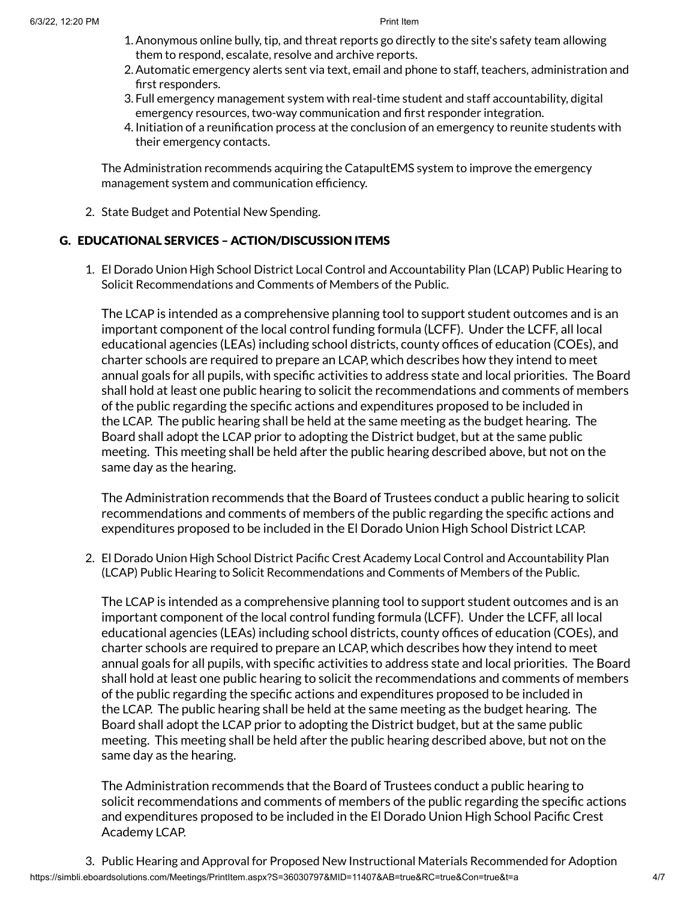- 1.Anonymous online bully, tip, and threat reports go directly to the site's safety team allowing them to respond, escalate, resolve and archive reports.
- 2.Automatic emergency alerts sent via text, email and phone to staff, teachers, administration and first responders.
- 3. Full emergency management system with real-time student and staff accountability, digital emergency resources, two-way communication and first responder integration.
- 4. Initiation of a reunification process at the conclusion of an emergency to reunite students with their emergency contacts.

The Administration recommends acquiring the CatapultEMS system to improve the emergency management system and communication efficiency.

2. State Budget and Potential New Spending.

# G. EDUCATIONAL SERVICES – ACTION/DISCUSSION ITEMS

1. El Dorado Union High School District Local Control and Accountability Plan (LCAP) Public Hearing to Solicit Recommendations and Comments of Members of the Public.

The LCAP is intended as a comprehensive planning tool to support student outcomes and is an important component of the local control funding formula (LCFF). Under the LCFF, all local educational agencies (LEAs) including school districts, county offices of education (COEs), and charter schools are required to prepare an LCAP, which describes how they intend to meet annual goals for all pupils, with specific activities to address state and local priorities. The Board shall hold at least one public hearing to solicit the recommendations and comments of members of the public regarding the specific actions and expenditures proposed to be included in the LCAP. The public hearing shall be held at the same meeting as the budget hearing. The Board shall adopt the LCAP prior to adopting the District budget, but at the same public meeting. This meeting shall be held after the public hearing described above, but not on the same day as the hearing.

The Administration recommends that the Board of Trustees conduct a public hearing to solicit recommendations and comments of members of the public regarding the specific actions and expenditures proposed to be included in the El Dorado Union High School District LCAP.

2. El Dorado Union High School District Pacific Crest Academy Local Control and Accountability Plan (LCAP) Public Hearing to Solicit Recommendations and Comments of Members of the Public.

The LCAP is intended as a comprehensive planning tool to support student outcomes and is an important component of the local control funding formula (LCFF). Under the LCFF, all local educational agencies (LEAs) including school districts, county offices of education (COEs), and charter schools are required to prepare an LCAP, which describes how they intend to meet annual goals for all pupils, with specific activities to address state and local priorities. The Board shall hold at least one public hearing to solicit the recommendations and comments of members of the public regarding the specific actions and expenditures proposed to be included in the LCAP. The public hearing shall be held at the same meeting as the budget hearing. The Board shall adopt the LCAP prior to adopting the District budget, but at the same public meeting. This meeting shall be held after the public hearing described above, but not on the same day as the hearing.

The Administration recommends that the Board of Trustees conduct a public hearing to solicit recommendations and comments of members of the public regarding the specific actions and expenditures proposed to be included in the El Dorado Union High School Pacific Crest Academy LCAP.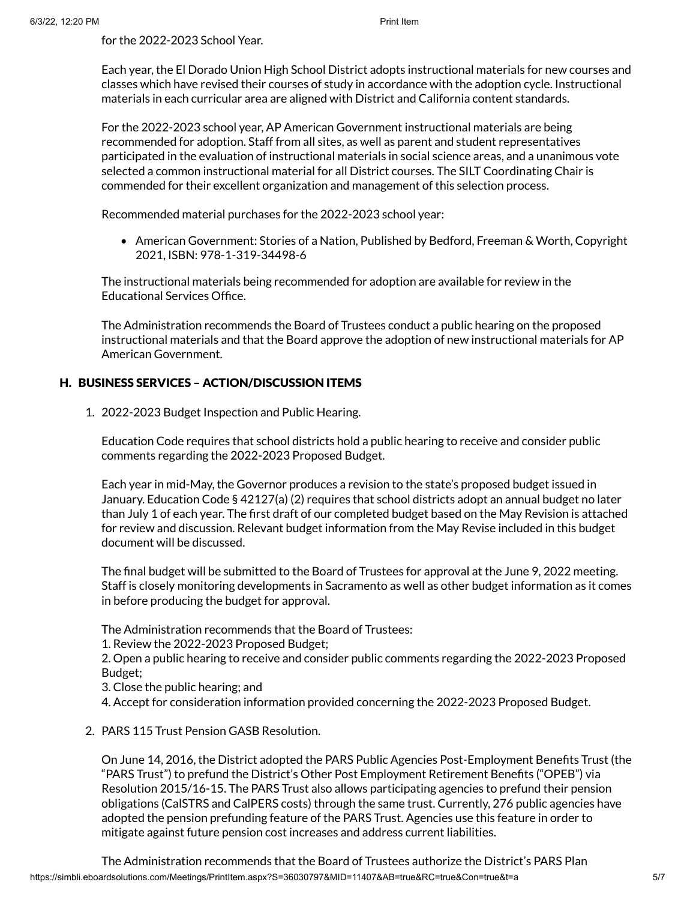for the 2022-2023 School Year.

Each year, the El Dorado Union High School District adopts instructional materials for new courses and classes which have revised their courses of study in accordance with the adoption cycle. Instructional materials in each curricular area are aligned with District and California content standards.

For the 2022-2023 school year, AP American Government instructional materials are being recommended for adoption. Staff from all sites, as well as parent and student representatives participated in the evaluation of instructional materials in social science areas, and a unanimous vote selected a common instructional material for all District courses. The SILT Coordinating Chair is commended for their excellent organization and management of this selection process.

Recommended material purchases for the 2022-2023 school year:

American Government: Stories of a Nation, Published by Bedford, Freeman & Worth, Copyright 2021, ISBN: 978-1-319-34498-6

The instructional materials being recommended for adoption are available for review in the Educational Services Office.

The Administration recommends the Board of Trustees conduct a public hearing on the proposed instructional materials and that the Board approve the adoption of new instructional materials for AP American Government.

# H. BUSINESS SERVICES – ACTION/DISCUSSION ITEMS

1. 2022-2023 Budget Inspection and Public Hearing.

Education Code requires that school districts hold a public hearing to receive and consider public comments regarding the 2022-2023 Proposed Budget.

Each year in mid-May, the Governor produces a revision to the state's proposed budget issued in January. Education Code § 42127(a) (2) requires that school districts adopt an annual budget no later than July 1 of each year. The first draft of our completed budget based on the May Revision is attached for review and discussion. Relevant budget information from the May Revise included in this budget document will be discussed.

The final budget will be submitted to the Board of Trustees for approval at the June 9, 2022 meeting. Staff is closely monitoring developments in Sacramento as well as other budget information as it comes in before producing the budget for approval.

The Administration recommends that the Board of Trustees:

1. Review the 2022-2023 Proposed Budget;

2. Open a public hearing to receive and consider public comments regarding the 2022-2023 Proposed Budget;

3. Close the public hearing; and

4. Accept for consideration information provided concerning the 2022-2023 Proposed Budget.

## 2. PARS 115 Trust Pension GASB Resolution.

On June 14, 2016, the District adopted the PARS Public Agencies Post-Employment Benefits Trust (the "PARS Trust") to prefund the District's Other Post Employment Retirement Benefits ("OPEB") via Resolution 2015/16-15. The PARS Trust also allows participating agencies to prefund their pension obligations (CalSTRS and CalPERS costs) through the same trust. Currently, 276 public agencies have adopted the pension prefunding feature of the PARS Trust. Agencies use this feature in order to mitigate against future pension cost increases and address current liabilities.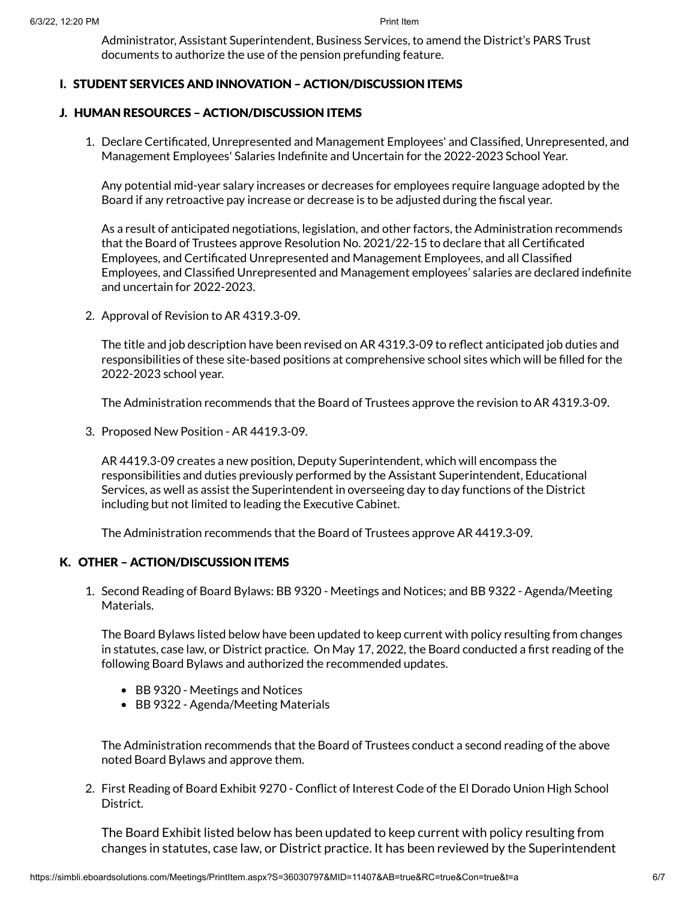Administrator, Assistant Superintendent, Business Services, to amend the District's PARS Trust documents to authorize the use of the pension prefunding feature.

# I. STUDENT SERVICES AND INNOVATION – ACTION/DISCUSSION ITEMS

# J. HUMAN RESOURCES – ACTION/DISCUSSION ITEMS

1. Declare Certificated, Unrepresented and Management Employees' and Classified, Unrepresented, and Management Employees' Salaries Indefinite and Uncertain for the 2022-2023 School Year.

Any potential mid-year salary increases or decreases for employees require language adopted by the Board if any retroactive pay increase or decrease is to be adjusted during the fiscal year.

As a result of anticipated negotiations, legislation, and other factors, the Administration recommends that the Board of Trustees approve Resolution No. 2021/22-15 to declare that all Certificated Employees, and Certificated Unrepresented and Management Employees, and all Classified Employees, and Classified Unrepresented and Management employees' salaries are declared indefinite and uncertain for 2022-2023.

2. Approval of Revision to AR 4319.3-09.

The title and job description have been revised on AR 4319.3-09 to reflect anticipated job duties and responsibilities of these site-based positions at comprehensive school sites which will be filled for the 2022-2023 school year.

The Administration recommends that the Board of Trustees approve the revision to AR 4319.3-09.

3. Proposed New Position - AR 4419.3-09.

AR 4419.3-09 creates a new position, Deputy Superintendent, which will encompass the responsibilities and duties previously performed by the Assistant Superintendent, Educational Services, as well as assist the Superintendent in overseeing day to day functions of the District including but not limited to leading the Executive Cabinet.

The Administration recommends that the Board of Trustees approve AR 4419.3-09.

# K. OTHER – ACTION/DISCUSSION ITEMS

1. Second Reading of Board Bylaws: BB 9320 - Meetings and Notices; and BB 9322 - Agenda/Meeting Materials.

The Board Bylaws listed below have been updated to keep current with policy resulting from changes in statutes, case law, or District practice. On May 17, 2022, the Board conducted a first reading of the following Board Bylaws and authorized the recommended updates.

- BB 9320 Meetings and Notices
- BB 9322 Agenda/Meeting Materials

The Administration recommends that the Board of Trustees conduct a second reading of the above noted Board Bylaws and approve them.

2. First Reading of Board Exhibit 9270 - Conflict of Interest Code of the El Dorado Union High School District.

The Board Exhibit listed below has been updated to keep current with policy resulting from changes in statutes, case law, or District practice. It has been reviewed by the Superintendent